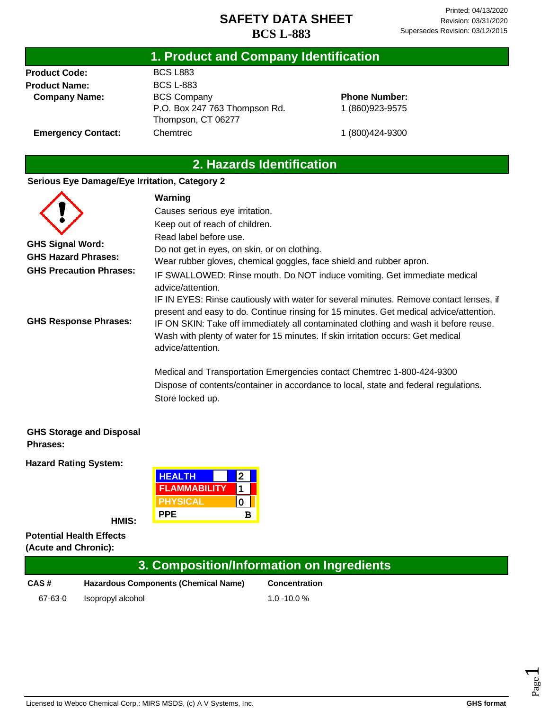## **1. Product and Company Identification**

**Product Code: Product Name: Company Name:** BCS L883 BCS L-883 BCS Company P.O. Box 247 763 Thompson Rd. Thompson, CT 06277 **Chemtrec** 

**Phone Number:** 1 (860)923-9575

1 (800)424-9300

**Emergency Contact:**

## **2. Hazards Identification**

#### **Serious Eye Damage/Eye Irritation, Category 2**

|                                                       | Warning                                                                                                                                                                                                                                                                                                                                                                           |
|-------------------------------------------------------|-----------------------------------------------------------------------------------------------------------------------------------------------------------------------------------------------------------------------------------------------------------------------------------------------------------------------------------------------------------------------------------|
|                                                       | Causes serious eye irritation.                                                                                                                                                                                                                                                                                                                                                    |
|                                                       | Keep out of reach of children.                                                                                                                                                                                                                                                                                                                                                    |
|                                                       | Read label before use.                                                                                                                                                                                                                                                                                                                                                            |
| <b>GHS Signal Word:</b><br><b>GHS Hazard Phrases:</b> | Do not get in eyes, on skin, or on clothing.                                                                                                                                                                                                                                                                                                                                      |
|                                                       | Wear rubber gloves, chemical goggles, face shield and rubber apron.                                                                                                                                                                                                                                                                                                               |
| <b>GHS Precaution Phrases:</b>                        | IF SWALLOWED: Rinse mouth. Do NOT induce vomiting. Get immediate medical<br>advice/attention.                                                                                                                                                                                                                                                                                     |
| <b>GHS Response Phrases:</b>                          | IF IN EYES: Rinse cautiously with water for several minutes. Remove contact lenses, if<br>present and easy to do. Continue rinsing for 15 minutes. Get medical advice/attention.<br>IF ON SKIN: Take off immediately all contaminated clothing and wash it before reuse.<br>Wash with plenty of water for 15 minutes. If skin irritation occurs: Get medical<br>advice/attention. |
|                                                       | Medical and Transportation Emergencies contact Chemtrec 1-800-424-9300<br>Dispose of contents/container in accordance to local, state and federal regulations.<br>Store locked up.                                                                                                                                                                                                |

#### **GHS Storage and Disposal Phrases:**

**Hazard Rating System:**

| <b>HEALTH</b>       |   |
|---------------------|---|
| <b>FLAMMABILITY</b> |   |
| <b>PHYSICAL</b>     |   |
| <b>PPE</b>          | R |

**HMIS:**

**Potential Health Effects (Acute and Chronic):**

| 3. Composition/Information on Ingredients |                                             |                      |
|-------------------------------------------|---------------------------------------------|----------------------|
| CAS#                                      | <b>Hazardous Components (Chemical Name)</b> | <b>Concentration</b> |
| 67-63-0                                   | Isopropyl alcohol                           | $1.0 - 10.0 %$       |

Page  $\overline{\phantom{0}}$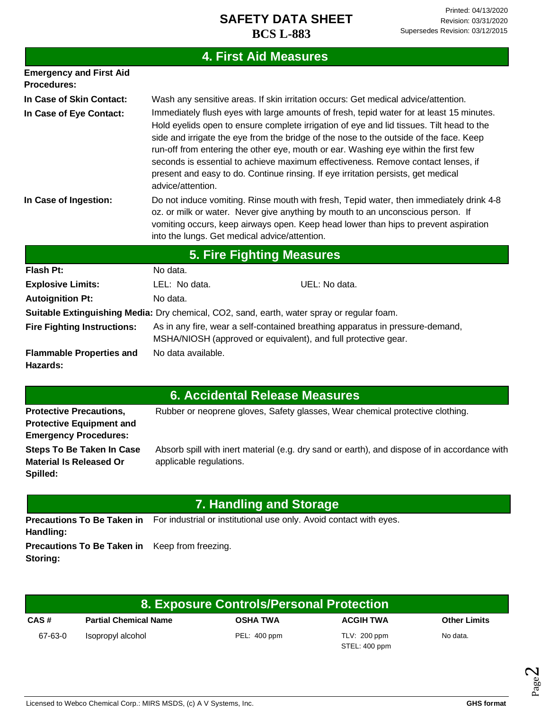## **4. First Aid Measures**

| <b>Emergency and First Aid</b><br><b>Procedures:</b>                                       |                                                                                                                                                                                                                                                                                                                                                                                                                                                                                                                                                                     |  |  |
|--------------------------------------------------------------------------------------------|---------------------------------------------------------------------------------------------------------------------------------------------------------------------------------------------------------------------------------------------------------------------------------------------------------------------------------------------------------------------------------------------------------------------------------------------------------------------------------------------------------------------------------------------------------------------|--|--|
| In Case of Skin Contact:                                                                   | Wash any sensitive areas. If skin irritation occurs: Get medical advice/attention.                                                                                                                                                                                                                                                                                                                                                                                                                                                                                  |  |  |
| In Case of Eye Contact:                                                                    | Immediately flush eyes with large amounts of fresh, tepid water for at least 15 minutes.<br>Hold eyelids open to ensure complete irrigation of eye and lid tissues. Tilt head to the<br>side and irrigate the eye from the bridge of the nose to the outside of the face. Keep<br>run-off from entering the other eye, mouth or ear. Washing eye within the first few<br>seconds is essential to achieve maximum effectiveness. Remove contact lenses, if<br>present and easy to do. Continue rinsing. If eye irritation persists, get medical<br>advice/attention. |  |  |
| In Case of Ingestion:                                                                      | Do not induce vomiting. Rinse mouth with fresh, Tepid water, then immediately drink 4-8<br>oz. or milk or water. Never give anything by mouth to an unconscious person. If<br>vomiting occurs, keep airways open. Keep head lower than hips to prevent aspiration<br>into the lungs. Get medical advice/attention.                                                                                                                                                                                                                                                  |  |  |
| 5. Fire Fighting Measures                                                                  |                                                                                                                                                                                                                                                                                                                                                                                                                                                                                                                                                                     |  |  |
| Flash Pt:                                                                                  | No data.                                                                                                                                                                                                                                                                                                                                                                                                                                                                                                                                                            |  |  |
| <b>Explosive Limits:</b>                                                                   | UEL: No data.<br>LEL: No data.                                                                                                                                                                                                                                                                                                                                                                                                                                                                                                                                      |  |  |
| <b>Autoignition Pt:</b>                                                                    | No data.                                                                                                                                                                                                                                                                                                                                                                                                                                                                                                                                                            |  |  |
| Suitable Extinguishing Media: Dry chemical, CO2, sand, earth, water spray or regular foam. |                                                                                                                                                                                                                                                                                                                                                                                                                                                                                                                                                                     |  |  |
| <b>Fire Fighting Instructions:</b>                                                         | As in any fire, wear a self-contained breathing apparatus in pressure-demand,<br>MSHA/NIOSH (approved or equivalent), and full protective gear.                                                                                                                                                                                                                                                                                                                                                                                                                     |  |  |
| <b>Flammable Properties and</b><br>Hazards:                                                | No data available.                                                                                                                                                                                                                                                                                                                                                                                                                                                                                                                                                  |  |  |

# **6. Accidental Release Measures**

| <b>Protective Precautions,</b>  | Rubber or neoprene gloves, Safety glasses, Wear chemical protective clothing.                |
|---------------------------------|----------------------------------------------------------------------------------------------|
| <b>Protective Equipment and</b> |                                                                                              |
| <b>Emergency Procedures:</b>    |                                                                                              |
| Steps To Be Taken In Case       | Absorb spill with inert material (e.g. dry sand or earth), and dispose of in accordance with |
| <b>Material Is Released Or</b>  | applicable regulations.                                                                      |
| Spilled:                        |                                                                                              |

| 7. Handling and Storage                                           |                                                                                                      |  |
|-------------------------------------------------------------------|------------------------------------------------------------------------------------------------------|--|
| Handling:                                                         | <b>Precautions To Be Taken in</b> For industrial or institutional use only. Avoid contact with eyes. |  |
| <b>Precautions To Be Taken in</b> Keep from freezing.<br>Storing: |                                                                                                      |  |

| 8. Exposure Controls/Personal Protection |                              |                 |                                 |                     |
|------------------------------------------|------------------------------|-----------------|---------------------------------|---------------------|
| CAS#                                     | <b>Partial Chemical Name</b> | <b>OSHA TWA</b> | <b>ACGIH TWA</b>                | <b>Other Limits</b> |
| 67-63-0                                  | Isopropyl alcohol            | PEL: 400 ppm    | $TLV: 200$ ppm<br>STEL: 400 ppm | No data.            |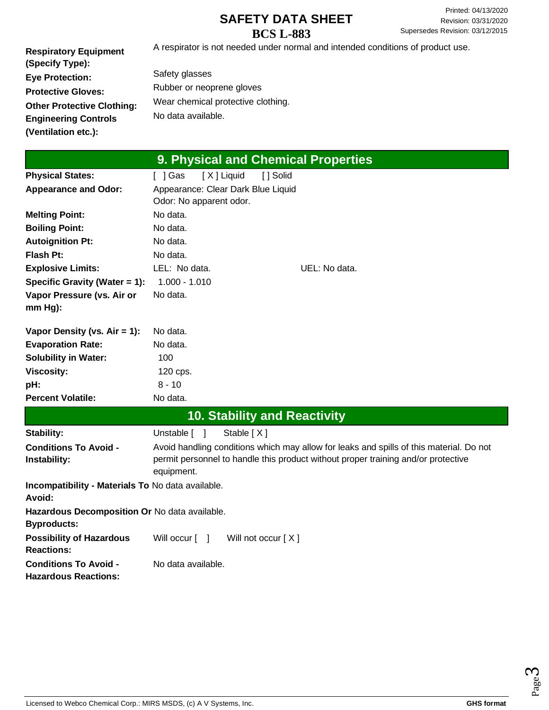**Respiratory Equipment (Specify Type): Eye Protection: Protective Gloves: Other Protective Clothing: Engineering Controls (Ventilation etc.):**

A respirator is not needed under normal and intended conditions of product use.

Safety glasses Rubber or neoprene gloves Wear chemical protective clothing. No data available.

|                                                                     | 9. Physical and Chemical Properties                                                     |  |
|---------------------------------------------------------------------|-----------------------------------------------------------------------------------------|--|
| <b>Physical States:</b>                                             | [X] Liquid<br>$[$ ] Gas<br>[ ] Solid                                                    |  |
| <b>Appearance and Odor:</b>                                         | Appearance: Clear Dark Blue Liquid                                                      |  |
|                                                                     | Odor: No apparent odor.                                                                 |  |
| <b>Melting Point:</b>                                               | No data.                                                                                |  |
| <b>Boiling Point:</b>                                               | No data.                                                                                |  |
| <b>Autoignition Pt:</b>                                             | No data.                                                                                |  |
| <b>Flash Pt:</b>                                                    | No data.                                                                                |  |
| <b>Explosive Limits:</b>                                            | LEL: No data.<br>UEL: No data.                                                          |  |
| Specific Gravity (Water = 1):                                       | $1.000 - 1.010$                                                                         |  |
| Vapor Pressure (vs. Air or                                          | No data.                                                                                |  |
| mm Hg):                                                             |                                                                                         |  |
| Vapor Density (vs. $Air = 1$ ):                                     | No data.                                                                                |  |
| <b>Evaporation Rate:</b>                                            | No data.                                                                                |  |
| <b>Solubility in Water:</b>                                         | 100                                                                                     |  |
| <b>Viscosity:</b>                                                   | 120 cps.                                                                                |  |
| pH:                                                                 | $8 - 10$                                                                                |  |
| <b>Percent Volatile:</b>                                            | No data.                                                                                |  |
|                                                                     | <b>10. Stability and Reactivity</b>                                                     |  |
| Stability:                                                          | Stable [X]<br>Unstable [ ]                                                              |  |
| <b>Conditions To Avoid -</b>                                        | Avoid handling conditions which may allow for leaks and spills of this material. Do not |  |
| Instability:                                                        | permit personnel to handle this product without proper training and/or protective       |  |
|                                                                     | equipment.                                                                              |  |
| Incompatibility - Materials To No data available.<br>Avoid:         |                                                                                         |  |
| Hazardous Decomposition Or No data available.<br><b>Byproducts:</b> |                                                                                         |  |
| <b>Possibility of Hazardous</b><br><b>Reactions:</b>                | Will not occur $[X]$<br>Will occur $\lceil \quad \rceil$                                |  |
| <b>Conditions To Avoid -</b><br><b>Hazardous Reactions:</b>         | No data available.                                                                      |  |